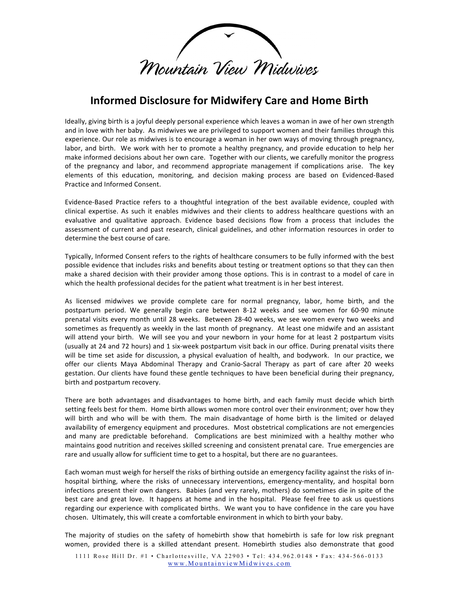

## **Informed
Disclosure
for
Midwifery
Care
and
Home
Birth**

Ideally, giving birth is a joyful deeply personal experience which leaves a woman in awe of her own strength and in love with her baby. As midwives we are privileged to support women and their families through this experience. Our role as midwives is to encourage a woman in her own ways of moving through pregnancy, labor, and birth. We work with her to promote a healthy pregnancy, and provide education to help her make informed decisions about her own care. Together with our clients, we carefully monitor the progress of the pregnancy and labor, and recommend appropriate management if complications arise. The key elements
 of
 this
 education,
 monitoring,
 and
 decision
 making
 process
 are
 based
 on
 Evidenced‐Based Practice
and
Informed
Consent.

Evidence-Based Practice refers to a thoughtful integration of the best available evidence, coupled with clinical expertise. As such it enables midwives and their clients to address healthcare questions with an evaluative and qualitative approach. Evidence based decisions flow from a process that includes the assessment
 of
 current
 and
 past
 research,
 clinical
 guidelines,
 and
 other
 information
 resources
 in
 order
 to determine
the
best
course
of
care.

Typically, Informed Consent refers to the rights of healthcare consumers to be fully informed with the best possible evidence that includes risks and benefits about testing or treatment options so that they can then make a shared decision with their provider among those options. This is in contrast to a model of care in which the health professional decides for the patient what treatment is in her best interest.

As licensed midwives we provide complete care for normal pregnancy, labor, home birth, and the postpartum period. We generally begin care between 8-12 weeks and see women for 60-90 minute prenatal visits every month until 28 weeks. Between 28-40 weeks, we see women every two weeks and sometimes as frequently as weekly in the last month of pregnancy. At least one midwife and an assistant will attend your birth. We will see you and your newborn in your home for at least 2 postpartum visits (usually at 24 and 72 hours) and 1 six-week postpartum visit back in our office. During prenatal visits there will be time set aside for discussion, a physical evaluation of health, and bodywork. In our practice, we offer our clients Maya Abdominal Therapy and Cranio-Sacral Therapy as part of care after 20 weeks gestation. Our clients have found these gentle techniques to have been beneficial during their pregnancy, birth
and
postpartum
recovery.

There are both advantages and disadvantages to home birth, and each family must decide which birth setting feels best for them. Home birth allows women more control over their environment; over how they will birth and who will be with them. The main disadvantage of home birth is the limited or delayed availability
of
emergency
equipment
and
procedures.

Most
obstetrical
complications
are
not
emergencies and many are predictable beforehand. Complications are best minimized with a healthy mother who maintains good nutrition and receives skilled screening and consistent prenatal care. True emergencies are rare and usually allow for sufficient time to get to a hospital, but there are no guarantees.

Each woman must weigh for herself the risks of birthing outside an emergency facility against the risks of inhospital birthing, where the risks of unnecessary interventions, emergency-mentality, and hospital born infections present their own dangers. Babies (and very rarely, mothers) do sometimes die in spite of the best care and great love. It happens at home and in the hospital. Please feel free to ask us questions regarding our experience with complicated births. We want you to have confidence in the care you have chosen.

Ultimately,
this
will
create
a
comfortable
environment
in
which
to
birth
your
baby.

The majority of studies on the safety of homebirth show that homebirth is safe for low risk pregnant women, provided there is a skilled attendant present. Homebirth studies also demonstrate that good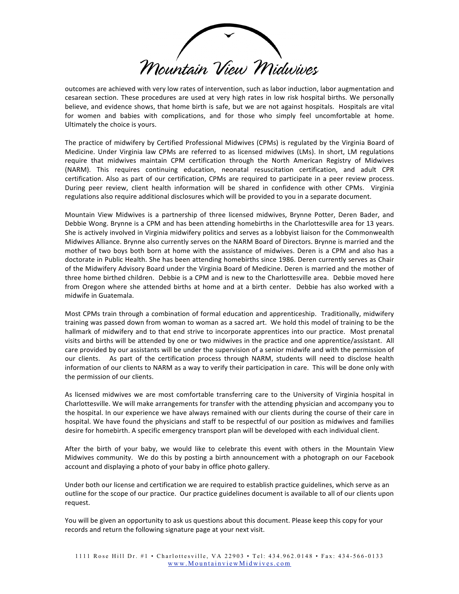Mountain View Midwives

outcomes
are
achieved
with
very
low
rates
of
intervention,
such
as
labor
induction,
labor
augmentation
and cesarean section. These procedures are used at very high rates in low risk hospital births. We personally believe, and evidence shows, that home birth is safe, but we are not against hospitals. Hospitals are vital for women and babies with complications, and for those who simply feel uncomfortable at home. Ultimately
the
choice
is
yours.

The practice of midwifery by Certified Professional Midwives (CPMs) is regulated by the Virginia Board of Medicine. Under Virginia law CPMs are referred to as licensed midwives (LMs). In short, LM regulations require that midwives maintain CPM certification through the North American Registry of Midwives (NARM). This requires continuing education, neonatal resuscitation certification, and adult CPR certification. Also as part of our certification, CPMs are required to participate in a peer review process. During peer review, client health information will be shared in confidence with other CPMs. Virginia regulations also require additional disclosures which will be provided to you in a separate document.

Mountain View Midwives is a partnership of three licensed midwives, Brynne Potter, Deren Bader, and Debbie Wong. Brynne is a CPM and has been attending homebirths in the Charlottesville area for 13 years. She is actively involved in Virginia midwifery politics and serves as a lobbyist liaison for the Commonwealth Midwives Alliance. Brynne also currently serves on the NARM Board of Directors. Brynne is married and the mother of two boys both born at home with the assistance of midwives. Deren is a CPM and also has a doctorate in Public Health. She has been attending homebirths since 1986. Deren currently serves as Chair of the Midwifery Advisory Board under the Virginia Board of Medicine. Deren is married and the mother of three home birthed children. Debbie is a CPM and is new to the Charlottesville area. Debbie moved here from Oregon where she attended births at home and at a birth center. Debbie has also worked with a midwife
in
Guatemala.

Most CPMs train through a combination of formal education and apprenticeship. Traditionally, midwifery training was passed down from woman to woman as a sacred art. We hold this model of training to be the hallmark of midwifery and to that end strive to incorporate apprentices into our practice. Most prenatal visits and births will be attended by one or two midwives in the practice and one apprentice/assistant. All care provided by our assistants will be under the supervision of a senior midwife and with the permission of our clients. As part of the certification process through NARM, students will need to disclose health information of our clients to NARM as a way to verify their participation in care. This will be done only with the
permission
of
our
clients.

As licensed midwives we are most comfortable transferring care to the University of Virginia hospital in Charlottesville.
We
will
make
arrangements
for
transfer
with
the
attending
physician
and
accompany
you
to the hospital. In our experience we have always remained with our clients during the course of their care in hospital. We have found the physicians and staff to be respectful of our position as midwives and families desire for homebirth. A specific emergency transport plan will be developed with each individual client.

After the birth of your baby, we would like to celebrate this event with others in the Mountain View Midwives community. We do this by posting a birth announcement with a photograph on our Facebook account and displaying a photo of your baby in office photo gallery.

Under both our license and certification we are required to establish practice guidelines, which serve as an outline for the scope of our practice. Our practice guidelines document is available to all of our clients upon request.

You will be given an opportunity to ask us questions about this document. Please keep this copy for your records
and
return
the
following
signature
page
at
your
next
visit.